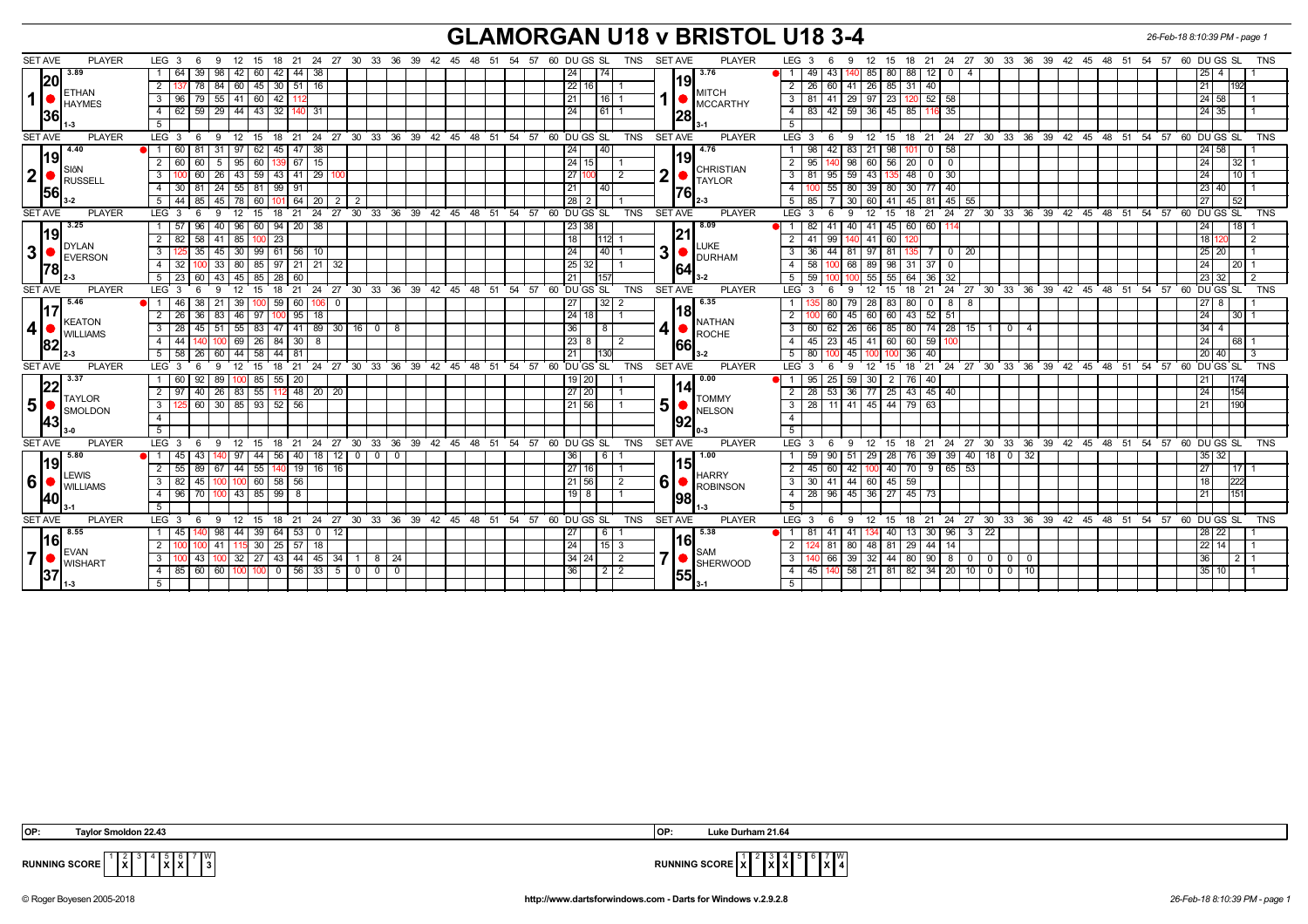## **GLAMORGAN U18 v BRISTOL U18 3-4** *26-Feb-18 8:10:39 PM - page 1*

| <b>SET AVE</b><br><b>PLAYER</b><br>LEG 3<br>-9<br>12<br>- 15<br>-6<br>3.89<br>3.76<br>  88  <br>1 64<br>39   98  <br>42<br>60   42   44   38<br>24<br>74<br>49 I<br>43<br>85   80  <br>12101<br>$\overline{4}$<br>25   4<br>$-1$<br> 20 <br> 19 <br>84 60 45 30 51 16<br> 22 16 <br>$26 \mid 85 \mid$<br>2 137<br>78<br>2<br>26 60 41<br>31<br>21<br>40<br>1192<br><b>ETHAN</b><br>MITCH<br>1<br>79 55 41 60 42<br> 21<br> 16 1<br>81 41 29 97 23 120 52 58<br> 24 58 <br>3   96  <br>$\mathbf{3}$<br>-112<br>MCCARTHY<br>HAYMES<br>  59   29   44   43   32   140   31<br>83   42   59  <br>  36   45   85  <br>$4 \mid 62$<br> 61 1<br>$\overline{4}$<br>116 35<br> 24 35 <br>24<br> 28 <br> 36 <br>5<br>5<br>9 12 15 18 21 24 27 30 33 36 39 42 45 48 51 54 57 60 DUGSSL<br>12 15 18 21 24 27 30 33 36 39 42 45 48 51 54 57 60 DUGS SL TNS<br><b>SET AVE</b><br><b>PLAYER</b><br>LEG $3 \t6$<br>TNS<br><b>SET AVE</b><br><b>PLAYER</b><br>LEG 3<br>9<br>- 6<br>4.40<br>4.76<br>  31   97   62   45   47   38<br>40<br>83<br>21   98<br>$\bullet$ 1 60<br>  81<br>  24<br>42 I<br>0   58<br>24   58  <br>98<br>101<br> 19 <br>19<br>15<br>$\sqrt{24}$<br>56<br>$\overline{20}$<br>2 60<br>60<br>95<br>60<br>67<br>2<br>95<br>98<br>5<br>15<br>60<br>$0$   0<br>24<br>  32   1<br><b>SIÔN</b><br><b>CHRISTIAN</b><br> 2 <br>$\mathbf 2$<br>27<br>$143$   135   48   0   30<br>$3 \, 100$<br>  26   43   59   43   41   29   100<br>81 95 59<br>$110$ 1<br>60<br>$\overline{2}$<br>$\mathbf{3}$<br>l 24 l<br>RUSSELL<br><b>TAYLOR</b><br>81<br>24 55 81 99<br>21<br>40<br>$\overline{4}$<br>55<br>80<br>39   80  <br>$30$ 77 40<br>4 3 3 0<br>91<br>23   40  <br> 56 <br>1761<br>$5 \mid 44 \mid 85 \mid$<br>45   78   60   101   64   20   2  <br>  28   2<br>7 30<br>45 81 45 55<br>152<br>5<br>85<br>60   41  <br>27 <sub>l</sub><br>$\overline{2}$<br>24 27 30 33 36 39 42 45 48 51 54 57 60 DUGS SL<br>18<br>TNS<br>SET AVE<br><b>PLAYER</b><br>LEG <sub>3</sub><br>12<br>18 21 24 27 30 33 36 39 42 45 48 51 54 57 60 DUGS SL<br><b>SET AVE</b><br><b>PLAYER</b><br>LEG 3<br>-9<br>12<br>15<br>- 21<br>9<br>15<br>- 6<br>3.25<br>40   96   60   94   20   38<br>41 45 60 60 114<br>$1 \mid 57$<br>96<br>23 38<br>8.09<br>41<br>40<br>24<br>$\blacksquare$<br>82 I<br>18 I<br> 19 <br> 21 <br>58<br>23<br>  18<br>2 82<br>41   85<br>41<br>99<br>41<br>60<br>18 I<br>112<br>. IDYLAN<br>LUKE<br> 3 <br>3 <sup>1</sup><br>35<br>45   30  <br>99   61   56   10 | <b>SET AVE</b><br><b>PLAYER</b><br>18  21  24  27  30  33  36  39  42  45  48  51  54  57  60  DU  GS  SL<br>TNS<br>LEG 3<br>12<br>18 21 24 27 30 33 36 39 42 45 48 51 54 57<br>60 DU GS SL<br>TNS<br>9<br>- 15 |
|--------------------------------------------------------------------------------------------------------------------------------------------------------------------------------------------------------------------------------------------------------------------------------------------------------------------------------------------------------------------------------------------------------------------------------------------------------------------------------------------------------------------------------------------------------------------------------------------------------------------------------------------------------------------------------------------------------------------------------------------------------------------------------------------------------------------------------------------------------------------------------------------------------------------------------------------------------------------------------------------------------------------------------------------------------------------------------------------------------------------------------------------------------------------------------------------------------------------------------------------------------------------------------------------------------------------------------------------------------------------------------------------------------------------------------------------------------------------------------------------------------------------------------------------------------------------------------------------------------------------------------------------------------------------------------------------------------------------------------------------------------------------------------------------------------------------------------------------------------------------------------------------------------------------------------------------------------------------------------------------------------------------------------------------------------------------------------------------------------------------------------------------------------------------------------------------------------------------------------------------------------------------------------------------------------------------------------------------------------------------------------------------------------------------------------------------------------------------|-----------------------------------------------------------------------------------------------------------------------------------------------------------------------------------------------------------------|
|                                                                                                                                                                                                                                                                                                                                                                                                                                                                                                                                                                                                                                                                                                                                                                                                                                                                                                                                                                                                                                                                                                                                                                                                                                                                                                                                                                                                                                                                                                                                                                                                                                                                                                                                                                                                                                                                                                                                                                                                                                                                                                                                                                                                                                                                                                                                                                                                                                                                    |                                                                                                                                                                                                                 |
|                                                                                                                                                                                                                                                                                                                                                                                                                                                                                                                                                                                                                                                                                                                                                                                                                                                                                                                                                                                                                                                                                                                                                                                                                                                                                                                                                                                                                                                                                                                                                                                                                                                                                                                                                                                                                                                                                                                                                                                                                                                                                                                                                                                                                                                                                                                                                                                                                                                                    |                                                                                                                                                                                                                 |
|                                                                                                                                                                                                                                                                                                                                                                                                                                                                                                                                                                                                                                                                                                                                                                                                                                                                                                                                                                                                                                                                                                                                                                                                                                                                                                                                                                                                                                                                                                                                                                                                                                                                                                                                                                                                                                                                                                                                                                                                                                                                                                                                                                                                                                                                                                                                                                                                                                                                    |                                                                                                                                                                                                                 |
|                                                                                                                                                                                                                                                                                                                                                                                                                                                                                                                                                                                                                                                                                                                                                                                                                                                                                                                                                                                                                                                                                                                                                                                                                                                                                                                                                                                                                                                                                                                                                                                                                                                                                                                                                                                                                                                                                                                                                                                                                                                                                                                                                                                                                                                                                                                                                                                                                                                                    |                                                                                                                                                                                                                 |
|                                                                                                                                                                                                                                                                                                                                                                                                                                                                                                                                                                                                                                                                                                                                                                                                                                                                                                                                                                                                                                                                                                                                                                                                                                                                                                                                                                                                                                                                                                                                                                                                                                                                                                                                                                                                                                                                                                                                                                                                                                                                                                                                                                                                                                                                                                                                                                                                                                                                    |                                                                                                                                                                                                                 |
|                                                                                                                                                                                                                                                                                                                                                                                                                                                                                                                                                                                                                                                                                                                                                                                                                                                                                                                                                                                                                                                                                                                                                                                                                                                                                                                                                                                                                                                                                                                                                                                                                                                                                                                                                                                                                                                                                                                                                                                                                                                                                                                                                                                                                                                                                                                                                                                                                                                                    |                                                                                                                                                                                                                 |
|                                                                                                                                                                                                                                                                                                                                                                                                                                                                                                                                                                                                                                                                                                                                                                                                                                                                                                                                                                                                                                                                                                                                                                                                                                                                                                                                                                                                                                                                                                                                                                                                                                                                                                                                                                                                                                                                                                                                                                                                                                                                                                                                                                                                                                                                                                                                                                                                                                                                    |                                                                                                                                                                                                                 |
|                                                                                                                                                                                                                                                                                                                                                                                                                                                                                                                                                                                                                                                                                                                                                                                                                                                                                                                                                                                                                                                                                                                                                                                                                                                                                                                                                                                                                                                                                                                                                                                                                                                                                                                                                                                                                                                                                                                                                                                                                                                                                                                                                                                                                                                                                                                                                                                                                                                                    |                                                                                                                                                                                                                 |
|                                                                                                                                                                                                                                                                                                                                                                                                                                                                                                                                                                                                                                                                                                                                                                                                                                                                                                                                                                                                                                                                                                                                                                                                                                                                                                                                                                                                                                                                                                                                                                                                                                                                                                                                                                                                                                                                                                                                                                                                                                                                                                                                                                                                                                                                                                                                                                                                                                                                    |                                                                                                                                                                                                                 |
|                                                                                                                                                                                                                                                                                                                                                                                                                                                                                                                                                                                                                                                                                                                                                                                                                                                                                                                                                                                                                                                                                                                                                                                                                                                                                                                                                                                                                                                                                                                                                                                                                                                                                                                                                                                                                                                                                                                                                                                                                                                                                                                                                                                                                                                                                                                                                                                                                                                                    |                                                                                                                                                                                                                 |
|                                                                                                                                                                                                                                                                                                                                                                                                                                                                                                                                                                                                                                                                                                                                                                                                                                                                                                                                                                                                                                                                                                                                                                                                                                                                                                                                                                                                                                                                                                                                                                                                                                                                                                                                                                                                                                                                                                                                                                                                                                                                                                                                                                                                                                                                                                                                                                                                                                                                    |                                                                                                                                                                                                                 |
|                                                                                                                                                                                                                                                                                                                                                                                                                                                                                                                                                                                                                                                                                                                                                                                                                                                                                                                                                                                                                                                                                                                                                                                                                                                                                                                                                                                                                                                                                                                                                                                                                                                                                                                                                                                                                                                                                                                                                                                                                                                                                                                                                                                                                                                                                                                                                                                                                                                                    | TNS                                                                                                                                                                                                             |
|                                                                                                                                                                                                                                                                                                                                                                                                                                                                                                                                                                                                                                                                                                                                                                                                                                                                                                                                                                                                                                                                                                                                                                                                                                                                                                                                                                                                                                                                                                                                                                                                                                                                                                                                                                                                                                                                                                                                                                                                                                                                                                                                                                                                                                                                                                                                                                                                                                                                    |                                                                                                                                                                                                                 |
|                                                                                                                                                                                                                                                                                                                                                                                                                                                                                                                                                                                                                                                                                                                                                                                                                                                                                                                                                                                                                                                                                                                                                                                                                                                                                                                                                                                                                                                                                                                                                                                                                                                                                                                                                                                                                                                                                                                                                                                                                                                                                                                                                                                                                                                                                                                                                                                                                                                                    |                                                                                                                                                                                                                 |
| EVERSON                                                                                                                                                                                                                                                                                                                                                                                                                                                                                                                                                                                                                                                                                                                                                                                                                                                                                                                                                                                                                                                                                                                                                                                                                                                                                                                                                                                                                                                                                                                                                                                                                                                                                                                                                                                                                                                                                                                                                                                                                                                                                                                                                                                                                                                                                                                                                                                                                                                            | 3<br>24<br> 40 1<br>$\mathbf{3}$<br>44<br>81<br>97   81<br>$\begin{array}{ c c c c c } \hline 0 & 20 \\ \hline \end{array}$<br>25 20<br>36<br>135<br>DURHAM                                                     |
| 25 <br>4 32<br>33   80   85   97   21   21<br>32<br>58<br>100 68 1<br>89   98  <br>31<br>24<br>32<br>37   0<br>l 20 I 1<br>1781<br><b>641</b>                                                                                                                                                                                                                                                                                                                                                                                                                                                                                                                                                                                                                                                                                                                                                                                                                                                                                                                                                                                                                                                                                                                                                                                                                                                                                                                                                                                                                                                                                                                                                                                                                                                                                                                                                                                                                                                                                                                                                                                                                                                                                                                                                                                                                                                                                                                      |                                                                                                                                                                                                                 |
| 64<br>$5 \mid 23$<br>60<br>43   45  <br>85<br>- 28 I<br>60<br>21<br>157<br>5<br>59<br>55<br>55<br>36 32<br>23 32                                                                                                                                                                                                                                                                                                                                                                                                                                                                                                                                                                                                                                                                                                                                                                                                                                                                                                                                                                                                                                                                                                                                                                                                                                                                                                                                                                                                                                                                                                                                                                                                                                                                                                                                                                                                                                                                                                                                                                                                                                                                                                                                                                                                                                                                                                                                                   |                                                                                                                                                                                                                 |
| 60 DUGS SL<br><b>SET AVE</b><br>12<br>21 24 27 30 33 36 39 42 45 48 51 54 57<br><b>SET AVE</b><br><b>PLAYER</b><br>LEG 3<br>12<br>18 21 24 27 30 33 36 39 42 45 48 51 54 57<br><b>TNS</b><br><b>PLAYER</b><br>$LEG \ 3$<br>60 DU GS SL<br>15<br>15<br>18<br>-9                                                                                                                                                                                                                                                                                                                                                                                                                                                                                                                                                                                                                                                                                                                                                                                                                                                                                                                                                                                                                                                                                                                                                                                                                                                                                                                                                                                                                                                                                                                                                                                                                                                                                                                                                                                                                                                                                                                                                                                                                                                                                                                                                                                                     |                                                                                                                                                                                                                 |
| 5.46<br>32<br>6.35<br>38<br>39<br>59<br>28<br>80<br>1   46<br>60<br>  27<br>83<br>- 8<br>8<br>- 0<br>117                                                                                                                                                                                                                                                                                                                                                                                                                                                                                                                                                                                                                                                                                                                                                                                                                                                                                                                                                                                                                                                                                                                                                                                                                                                                                                                                                                                                                                                                                                                                                                                                                                                                                                                                                                                                                                                                                                                                                                                                                                                                                                                                                                                                                                                                                                                                                           |                                                                                                                                                                                                                 |
| 181<br> 24 18 <br> 43 <br>$2 \mid 26$<br>36<br>  83   46   97<br>$95$ 18<br>45<br>60   60  <br>52 51<br>24<br>  30   1<br>60 l<br>1100<br>KEATON<br>NATHAN                                                                                                                                                                                                                                                                                                                                                                                                                                                                                                                                                                                                                                                                                                                                                                                                                                                                                                                                                                                                                                                                                                                                                                                                                                                                                                                                                                                                                                                                                                                                                                                                                                                                                                                                                                                                                                                                                                                                                                                                                                                                                                                                                                                                                                                                                                         |                                                                                                                                                                                                                 |
| 4 <sup>1</sup><br>4<br>51 55 83 47 41 89 30 16 0<br>26<br>  80  <br>$15 \mid 1$<br>$3 \overline{28}$<br>45<br>36<br>$\overline{3}$<br>66<br> 85 <br>$74$   28  <br>8<br>8<br>60<br>62<br>$\overline{4}$<br>34<br>101<br><b>UNILLIAMS</b><br>ROCHE                                                                                                                                                                                                                                                                                                                                                                                                                                                                                                                                                                                                                                                                                                                                                                                                                                                                                                                                                                                                                                                                                                                                                                                                                                                                                                                                                                                                                                                                                                                                                                                                                                                                                                                                                                                                                                                                                                                                                                                                                                                                                                                                                                                                                  |                                                                                                                                                                                                                 |
| $4 \mid 44$<br>$100$ 69 $26$ 84 30 8<br>45   23   45   41   60   60   59   100<br>24<br>$\overline{4}$<br>168 1<br> 82 <br>1661                                                                                                                                                                                                                                                                                                                                                                                                                                                                                                                                                                                                                                                                                                                                                                                                                                                                                                                                                                                                                                                                                                                                                                                                                                                                                                                                                                                                                                                                                                                                                                                                                                                                                                                                                                                                                                                                                                                                                                                                                                                                                                                                                                                                                                                                                                                                    |                                                                                                                                                                                                                 |
| 60 44 58<br>21<br>45<br>36<br>5   58  <br>26<br>44<br>5<br>80<br>40<br>81<br>130<br>  20   40  <br>l 3                                                                                                                                                                                                                                                                                                                                                                                                                                                                                                                                                                                                                                                                                                                                                                                                                                                                                                                                                                                                                                                                                                                                                                                                                                                                                                                                                                                                                                                                                                                                                                                                                                                                                                                                                                                                                                                                                                                                                                                                                                                                                                                                                                                                                                                                                                                                                             |                                                                                                                                                                                                                 |
| 18  21  24  27  30  33  36  39  42  45  48  51  54  57  60  DUGS SL<br>18 21 24 27 30 33 36 39 42 45 48 51 54 57 60 DUGS SL<br><b>SET AVE</b><br><b>SET AVE</b><br><b>PLAYER</b><br><b>PLAYER</b><br>LEG 3<br>12<br>15<br>TNS<br>LEG <sub>3</sub><br>12<br>15<br>- 6<br>-9<br>9<br>- 6                                                                                                                                                                                                                                                                                                                                                                                                                                                                                                                                                                                                                                                                                                                                                                                                                                                                                                                                                                                                                                                                                                                                                                                                                                                                                                                                                                                                                                                                                                                                                                                                                                                                                                                                                                                                                                                                                                                                                                                                                                                                                                                                                                             | <b>TNS</b>                                                                                                                                                                                                      |
| 3.37<br>$\sqrt{0.00}$<br>1174<br>1 60<br>92<br>-89 I<br>85   55   20<br>25<br>59<br>30   2   76   40<br>19   20  <br>95<br>l 21<br>14I                                                                                                                                                                                                                                                                                                                                                                                                                                                                                                                                                                                                                                                                                                                                                                                                                                                                                                                                                                                                                                                                                                                                                                                                                                                                                                                                                                                                                                                                                                                                                                                                                                                                                                                                                                                                                                                                                                                                                                                                                                                                                                                                                                                                                                                                                                                             |                                                                                                                                                                                                                 |
| 2   97   40   26   83   55   112   48   20   20  <br> 27 20<br>28   53   36   77   25   43   45   40<br>l 24 l<br> 154 <br><b>TAYLOR</b><br><b>TOMMY</b>                                                                                                                                                                                                                                                                                                                                                                                                                                                                                                                                                                                                                                                                                                                                                                                                                                                                                                                                                                                                                                                                                                                                                                                                                                                                                                                                                                                                                                                                                                                                                                                                                                                                                                                                                                                                                                                                                                                                                                                                                                                                                                                                                                                                                                                                                                           |                                                                                                                                                                                                                 |
| $\vert 5 \vert$<br>5<br>30 85 93 52<br>$\overline{\mathbf{3}}$<br>$\overline{79}$<br>3 I<br>60<br>56<br>21 56<br>28 I<br>11   41  <br>45   44  <br>63<br>211<br>11901<br>SMOLDON<br>NELSON                                                                                                                                                                                                                                                                                                                                                                                                                                                                                                                                                                                                                                                                                                                                                                                                                                                                                                                                                                                                                                                                                                                                                                                                                                                                                                                                                                                                                                                                                                                                                                                                                                                                                                                                                                                                                                                                                                                                                                                                                                                                                                                                                                                                                                                                         |                                                                                                                                                                                                                 |
| 4<br>$\overline{4}$<br><u> 92</u><br> 43                                                                                                                                                                                                                                                                                                                                                                                                                                                                                                                                                                                                                                                                                                                                                                                                                                                                                                                                                                                                                                                                                                                                                                                                                                                                                                                                                                                                                                                                                                                                                                                                                                                                                                                                                                                                                                                                                                                                                                                                                                                                                                                                                                                                                                                                                                                                                                                                                           |                                                                                                                                                                                                                 |
| 5<br>-5                                                                                                                                                                                                                                                                                                                                                                                                                                                                                                                                                                                                                                                                                                                                                                                                                                                                                                                                                                                                                                                                                                                                                                                                                                                                                                                                                                                                                                                                                                                                                                                                                                                                                                                                                                                                                                                                                                                                                                                                                                                                                                                                                                                                                                                                                                                                                                                                                                                            |                                                                                                                                                                                                                 |
| 18 21 24 27 30 33 36 39 42 45 48 51 54 57 60 DUGSSL<br><b>SET AVE</b><br><b>PLAYER</b><br>LEG $3 \t6$<br>TNS<br><b>SET AVE</b><br><b>PLAYER</b><br>9 12 15<br>LEG 3<br>- 9<br>- 6<br>5.80<br>40 18 0 32<br>44<br>56<br>40   18   12   0   0<br>6<br>  1.00<br>29<br> 28 <br>76 I<br>$39 \mid 39$<br>35 32<br>97<br>$\overline{\mathbf{0}}$<br>59                                                                                                                                                                                                                                                                                                                                                                                                                                                                                                                                                                                                                                                                                                                                                                                                                                                                                                                                                                                                                                                                                                                                                                                                                                                                                                                                                                                                                                                                                                                                                                                                                                                                                                                                                                                                                                                                                                                                                                                                                                                                                                                   | 12 15 18 21 24 27 30 33 36 39 42 45 48 51 54 57 60 DUGS SL TNS                                                                                                                                                  |
| 36<br> 19 <br>13 D<br>$19$ 16 16<br>27 16<br>42<br>$100$ 40<br> 70 <br>$9 \mid 65$<br>$-53$<br>45 60<br>I 17 I 1<br>140 l                                                                                                                                                                                                                                                                                                                                                                                                                                                                                                                                                                                                                                                                                                                                                                                                                                                                                                                                                                                                                                                                                                                                                                                                                                                                                                                                                                                                                                                                                                                                                                                                                                                                                                                                                                                                                                                                                                                                                                                                                                                                                                                                                                                                                                                                                                                                          |                                                                                                                                                                                                                 |
| 55<br>2 55<br>89<br>67   44  <br>$\overline{2}$<br>27<br>LEWIS<br><b>HARRY</b><br>6<br>$3 \mid 82$<br>45   100   100   60   58   56<br>21 56<br>$\overline{\mathbf{3}}$<br>30 41 44 60 45 59<br>$\overline{2}$<br>18<br>222                                                                                                                                                                                                                                                                                                                                                                                                                                                                                                                                                                                                                                                                                                                                                                                                                                                                                                                                                                                                                                                                                                                                                                                                                                                                                                                                                                                                                                                                                                                                                                                                                                                                                                                                                                                                                                                                                                                                                                                                                                                                                                                                                                                                                                        |                                                                                                                                                                                                                 |
| $\overline{6}$ $\bullet$ $\overline{ }$ williams<br>ROBINSON<br>$4 \mid 96$<br>70<br>$100$ 43 85<br>$\sqrt{99}$<br>8<br>$19$ 8<br>$-4$<br>28<br>$96 \mid 45$<br>$36$   27<br>45<br>73<br>l 21<br>1151                                                                                                                                                                                                                                                                                                                                                                                                                                                                                                                                                                                                                                                                                                                                                                                                                                                                                                                                                                                                                                                                                                                                                                                                                                                                                                                                                                                                                                                                                                                                                                                                                                                                                                                                                                                                                                                                                                                                                                                                                                                                                                                                                                                                                                                              |                                                                                                                                                                                                                 |
| 98<br>140I<br>5<br>5                                                                                                                                                                                                                                                                                                                                                                                                                                                                                                                                                                                                                                                                                                                                                                                                                                                                                                                                                                                                                                                                                                                                                                                                                                                                                                                                                                                                                                                                                                                                                                                                                                                                                                                                                                                                                                                                                                                                                                                                                                                                                                                                                                                                                                                                                                                                                                                                                                               |                                                                                                                                                                                                                 |
| <b>PLAYER</b><br>24 27 30 33 36 39 42 45 48 51 54 57 60 DUGS SL<br><b>TNS</b><br><b>SET AVE</b><br>LEG <sub>3</sub><br>18 21 24 27 30 33 36 39 42 45 48 51 54 57 60 DUGS SL<br><b>SET AVE</b><br>LEG $3 \quad 6$<br>12<br>18 21<br><b>PLAYER</b><br>12 15<br>- 9<br>15<br>9<br>- 6                                                                                                                                                                                                                                                                                                                                                                                                                                                                                                                                                                                                                                                                                                                                                                                                                                                                                                                                                                                                                                                                                                                                                                                                                                                                                                                                                                                                                                                                                                                                                                                                                                                                                                                                                                                                                                                                                                                                                                                                                                                                                                                                                                                 | <b>TNS</b>                                                                                                                                                                                                      |
| 8.55<br>-98 I<br>44<br>$39 \mid 64 \mid 53 \mid$<br>5.38<br>$13$ 30 $\boxed{96}$<br>$3 \mid 22$<br>1   45<br>12<br>27<br>41 I<br>41<br>40<br>28   22  <br>6<br>I 1<br>-81<br>$\overline{0}$                                                                                                                                                                                                                                                                                                                                                                                                                                                                                                                                                                                                                                                                                                                                                                                                                                                                                                                                                                                                                                                                                                                                                                                                                                                                                                                                                                                                                                                                                                                                                                                                                                                                                                                                                                                                                                                                                                                                                                                                                                                                                                                                                                                                                                                                        |                                                                                                                                                                                                                 |
| 161<br>161<br>30<br>24<br>$15 \mid 3$<br>29<br> 22 14 <br>2 I<br>41<br>25<br>57<br>44<br>80<br>48<br>-81<br>-14                                                                                                                                                                                                                                                                                                                                                                                                                                                                                                                                                                                                                                                                                                                                                                                                                                                                                                                                                                                                                                                                                                                                                                                                                                                                                                                                                                                                                                                                                                                                                                                                                                                                                                                                                                                                                                                                                                                                                                                                                                                                                                                                                                                                                                                                                                                                                    |                                                                                                                                                                                                                 |
| $\mathsf{I}$ EVAN<br> SAM<br>7 <sup>1</sup><br>$\overline{7}$<br>$34 \mid 24 \mid$<br>100 32 27 43 44 45 34 1 8 24<br>66 39 32 44 80 90 8 0<br>36<br>$3 \mid 100 \mid 43 \mid$<br>$\vert$ 2<br>$\mathbf{3}$<br>2 1<br>$\mathbf 0$<br>$\begin{array}{c c c c c c} \hline \multicolumn{3}{c }{\textbf{0} & \textbf{0} & \textbf{0} & \textbf{0} \\ \hline \end{array}$                                                                                                                                                                                                                                                                                                                                                                                                                                                                                                                                                                                                                                                                                                                                                                                                                                                                                                                                                                                                                                                                                                                                                                                                                                                                                                                                                                                                                                                                                                                                                                                                                                                                                                                                                                                                                                                                                                                                                                                                                                                                                               |                                                                                                                                                                                                                 |
| <b>V</b> WISHART<br><b>SHERWOOD</b><br>$0$ 56 33<br>45   140   58   21   81   82   34   20  <br>36<br>$2 \mid 2$<br>$10$ 0<br>  60  <br>  60   100  <br>500<br>$\overline{4}$<br>  10<br>35 10 <br>4   85  <br>10 <sup>c</sup><br>$^{\circ}$<br>$\overline{\mathbf{0}}$                                                                                                                                                                                                                                                                                                                                                                                                                                                                                                                                                                                                                                                                                                                                                                                                                                                                                                                                                                                                                                                                                                                                                                                                                                                                                                                                                                                                                                                                                                                                                                                                                                                                                                                                                                                                                                                                                                                                                                                                                                                                                                                                                                                            |                                                                                                                                                                                                                 |
| 55 <br>5                                                                                                                                                                                                                                                                                                                                                                                                                                                                                                                                                                                                                                                                                                                                                                                                                                                                                                                                                                                                                                                                                                                                                                                                                                                                                                                                                                                                                                                                                                                                                                                                                                                                                                                                                                                                                                                                                                                                                                                                                                                                                                                                                                                                                                                                                                                                                                                                                                                           |                                                                                                                                                                                                                 |